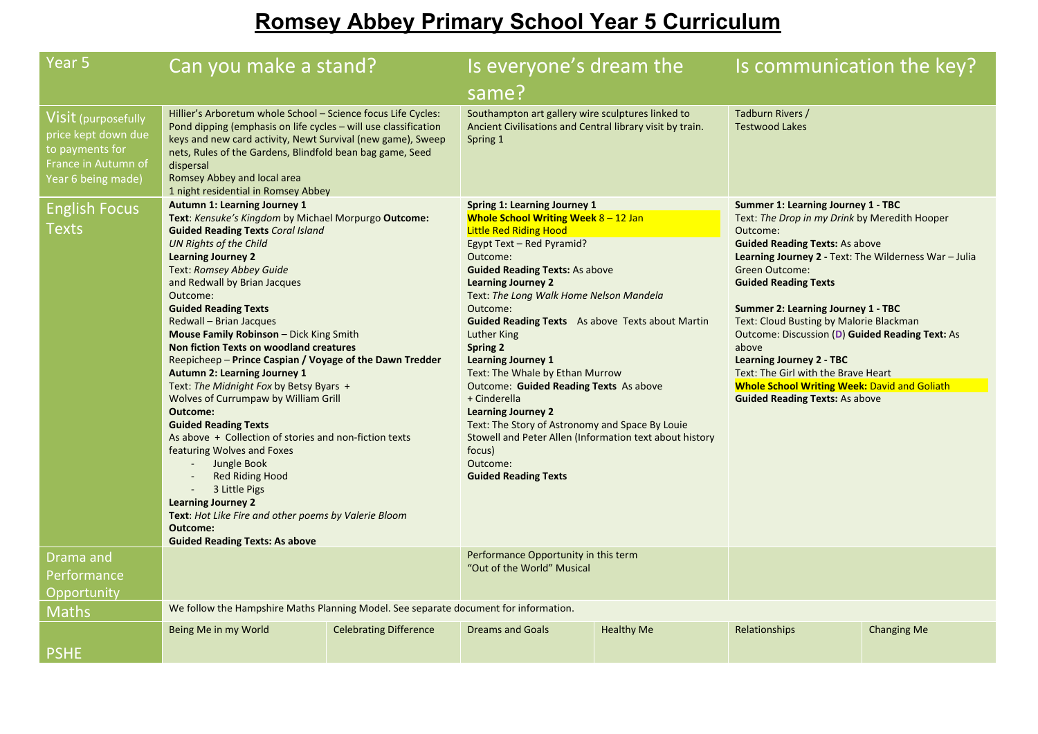# **Romsey Abbey Primary School Year 5 Curriculum**

| Year 5                                                                                                     | Can you make a stand?                                                                                                                                                                                                                                                                                                                                                                                                                                                                                                                                                                                                                                                                                                                                                                                                                                                                                                                                                                           |  | Is everyone's dream the                                                                                                                                                                                                                                                                                                                                                                                                                                                                                                                                                                                                                                                                       |                   | Is communication the key?                                                                                                                                                                                                                                                                                                                                                                                                                                                                                                                                                        |                    |
|------------------------------------------------------------------------------------------------------------|-------------------------------------------------------------------------------------------------------------------------------------------------------------------------------------------------------------------------------------------------------------------------------------------------------------------------------------------------------------------------------------------------------------------------------------------------------------------------------------------------------------------------------------------------------------------------------------------------------------------------------------------------------------------------------------------------------------------------------------------------------------------------------------------------------------------------------------------------------------------------------------------------------------------------------------------------------------------------------------------------|--|-----------------------------------------------------------------------------------------------------------------------------------------------------------------------------------------------------------------------------------------------------------------------------------------------------------------------------------------------------------------------------------------------------------------------------------------------------------------------------------------------------------------------------------------------------------------------------------------------------------------------------------------------------------------------------------------------|-------------------|----------------------------------------------------------------------------------------------------------------------------------------------------------------------------------------------------------------------------------------------------------------------------------------------------------------------------------------------------------------------------------------------------------------------------------------------------------------------------------------------------------------------------------------------------------------------------------|--------------------|
|                                                                                                            |                                                                                                                                                                                                                                                                                                                                                                                                                                                                                                                                                                                                                                                                                                                                                                                                                                                                                                                                                                                                 |  | same?                                                                                                                                                                                                                                                                                                                                                                                                                                                                                                                                                                                                                                                                                         |                   |                                                                                                                                                                                                                                                                                                                                                                                                                                                                                                                                                                                  |                    |
| Visit (purposefully<br>price kept down due<br>to payments for<br>France in Autumn of<br>Year 6 being made) | Hillier's Arboretum whole School - Science focus Life Cycles:<br>Pond dipping (emphasis on life cycles - will use classification<br>keys and new card activity, Newt Survival (new game), Sweep<br>nets, Rules of the Gardens, Blindfold bean bag game, Seed<br>dispersal<br>Romsey Abbey and local area<br>1 night residential in Romsey Abbey                                                                                                                                                                                                                                                                                                                                                                                                                                                                                                                                                                                                                                                 |  | Southampton art gallery wire sculptures linked to<br>Ancient Civilisations and Central library visit by train.<br>Spring 1                                                                                                                                                                                                                                                                                                                                                                                                                                                                                                                                                                    |                   | Tadburn Rivers /<br><b>Testwood Lakes</b>                                                                                                                                                                                                                                                                                                                                                                                                                                                                                                                                        |                    |
| <b>English Focus</b><br>Texts                                                                              | <b>Autumn 1: Learning Journey 1</b><br>Text: Kensuke's Kingdom by Michael Morpurgo Outcome:<br><b>Guided Reading Texts Coral Island</b><br>UN Rights of the Child<br><b>Learning Journey 2</b><br>Text: Romsey Abbey Guide<br>and Redwall by Brian Jacques<br>Outcome:<br><b>Guided Reading Texts</b><br>Redwall - Brian Jacques<br>Mouse Family Robinson - Dick King Smith<br><b>Non fiction Texts on woodland creatures</b><br>Reepicheep - Prince Caspian / Voyage of the Dawn Tredder<br><b>Autumn 2: Learning Journey 1</b><br>Text: The Midnight Fox by Betsy Byars +<br>Wolves of Currumpaw by William Grill<br><b>Outcome:</b><br><b>Guided Reading Texts</b><br>As above + Collection of stories and non-fiction texts<br>featuring Wolves and Foxes<br>Jungle Book<br>$\mathcal{L}^{\pm}$<br><b>Red Riding Hood</b><br>3 Little Pigs<br><b>Learning Journey 2</b><br>Text: Hot Like Fire and other poems by Valerie Bloom<br><b>Outcome:</b><br><b>Guided Reading Texts: As above</b> |  | Spring 1: Learning Journey 1<br>Whole School Writing Week $8 - 12$ Jan<br><b>Little Red Riding Hood</b><br>Egypt Text - Red Pyramid?<br>Outcome:<br><b>Guided Reading Texts: As above</b><br><b>Learning Journey 2</b><br>Text: The Long Walk Home Nelson Mandela<br>Outcome:<br><b>Guided Reading Texts</b> As above Texts about Martin<br>Luther King<br>Spring 2<br><b>Learning Journey 1</b><br>Text: The Whale by Ethan Murrow<br>Outcome: Guided Reading Texts As above<br>+ Cinderella<br><b>Learning Journey 2</b><br>Text: The Story of Astronomy and Space By Louie<br>Stowell and Peter Allen (Information text about history<br>focus)<br>Outcome:<br><b>Guided Reading Texts</b> |                   | Summer 1: Learning Journey 1 - TBC<br>Text: The Drop in my Drink by Meredith Hooper<br>Outcome:<br><b>Guided Reading Texts: As above</b><br>Learning Journey 2 - Text: The Wilderness War - Julia<br>Green Outcome:<br><b>Guided Reading Texts</b><br><b>Summer 2: Learning Journey 1 - TBC</b><br>Text: Cloud Busting by Malorie Blackman<br>Outcome: Discussion (D) Guided Reading Text: As<br>above<br><b>Learning Journey 2 - TBC</b><br>Text: The Girl with the Brave Heart<br><b>Whole School Writing Week: David and Goliath</b><br><b>Guided Reading Texts: As above</b> |                    |
| Drama and                                                                                                  |                                                                                                                                                                                                                                                                                                                                                                                                                                                                                                                                                                                                                                                                                                                                                                                                                                                                                                                                                                                                 |  | Performance Opportunity in this term<br>"Out of the World" Musical                                                                                                                                                                                                                                                                                                                                                                                                                                                                                                                                                                                                                            |                   |                                                                                                                                                                                                                                                                                                                                                                                                                                                                                                                                                                                  |                    |
| Performance<br>Opportunity                                                                                 |                                                                                                                                                                                                                                                                                                                                                                                                                                                                                                                                                                                                                                                                                                                                                                                                                                                                                                                                                                                                 |  |                                                                                                                                                                                                                                                                                                                                                                                                                                                                                                                                                                                                                                                                                               |                   |                                                                                                                                                                                                                                                                                                                                                                                                                                                                                                                                                                                  |                    |
| <b>Maths</b>                                                                                               | We follow the Hampshire Maths Planning Model. See separate document for information.                                                                                                                                                                                                                                                                                                                                                                                                                                                                                                                                                                                                                                                                                                                                                                                                                                                                                                            |  |                                                                                                                                                                                                                                                                                                                                                                                                                                                                                                                                                                                                                                                                                               |                   |                                                                                                                                                                                                                                                                                                                                                                                                                                                                                                                                                                                  |                    |
| <b>PSHE</b>                                                                                                | <b>Celebrating Difference</b><br>Being Me in my World                                                                                                                                                                                                                                                                                                                                                                                                                                                                                                                                                                                                                                                                                                                                                                                                                                                                                                                                           |  | <b>Dreams and Goals</b>                                                                                                                                                                                                                                                                                                                                                                                                                                                                                                                                                                                                                                                                       | <b>Healthy Me</b> | <b>Relationships</b>                                                                                                                                                                                                                                                                                                                                                                                                                                                                                                                                                             | <b>Changing Me</b> |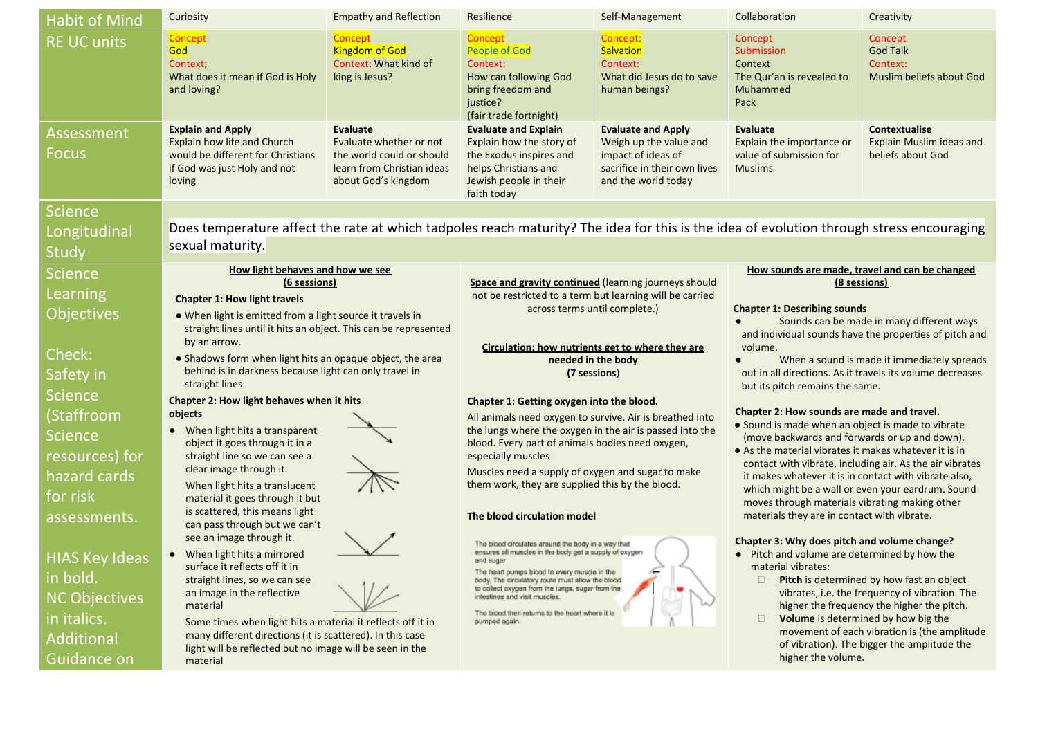| <b>Habit of Mind</b>       | Curiosity                                                                                                                                                      | <b>Empathy and Reflection</b>                                                                                         | Resilience                                                                                                                                                                     | Self-Management                                                                                                                  | Collaboration                                                                                                                                                                                                                   | Creativity                                                                        |
|----------------------------|----------------------------------------------------------------------------------------------------------------------------------------------------------------|-----------------------------------------------------------------------------------------------------------------------|--------------------------------------------------------------------------------------------------------------------------------------------------------------------------------|----------------------------------------------------------------------------------------------------------------------------------|---------------------------------------------------------------------------------------------------------------------------------------------------------------------------------------------------------------------------------|-----------------------------------------------------------------------------------|
| <b>RE UC units</b>         | Concept<br>God<br>Context;<br>What does it mean if God is Holy<br>and loving?                                                                                  | Concept<br><b>Kingdom of God</b><br>Context: What kind of<br>king is Jesus?                                           | Concept<br><b>People of God</b><br>Context:<br>How can following God<br>bring freedom and<br>justice?<br>(fair trade fortnight)                                                | Concept:<br><b>Salvation</b><br>Context:<br>What did Jesus do to save<br>human beings?                                           | Concept<br>Submission<br>Context<br>The Qur'an is revealed to<br>Muhammed<br>Pack                                                                                                                                               | Concept<br><b>God Talk</b><br>Context:<br>Muslim beliefs about God                |
| Assessment<br><b>Focus</b> | <b>Explain and Apply</b><br>Explain how life and Church<br>would be different for Christians<br>if God was just Holy and not<br>loving                         | Evaluate<br>Evaluate whether or not<br>the world could or should<br>learn from Christian ideas<br>about God's kingdom | <b>Evaluate and Explain</b><br>Explain how the story of<br>the Exodus inspires and<br>helps Christians and<br>Jewish people in their<br>faith today                            | <b>Evaluate and Apply</b><br>Weigh up the value and<br>impact of ideas of<br>sacrifice in their own lives<br>and the world today | <b>Evaluate</b><br>Explain the importance or<br>value of submission for<br><b>Muslims</b>                                                                                                                                       | <b>Contextualise</b><br>Explain Muslim ideas and<br>beliefs about God             |
| <b>Science</b>             |                                                                                                                                                                |                                                                                                                       |                                                                                                                                                                                |                                                                                                                                  |                                                                                                                                                                                                                                 |                                                                                   |
| Longitudinal               | Does temperature affect the rate at which tadpoles reach maturity? The idea for this is the idea of evolution through stress encouraging                       |                                                                                                                       |                                                                                                                                                                                |                                                                                                                                  |                                                                                                                                                                                                                                 |                                                                                   |
| Study                      | sexual maturity.                                                                                                                                               |                                                                                                                       |                                                                                                                                                                                |                                                                                                                                  |                                                                                                                                                                                                                                 |                                                                                   |
| <b>Science</b>             | How light behaves and how we see                                                                                                                               |                                                                                                                       |                                                                                                                                                                                |                                                                                                                                  | How sounds are made, travel and can be changed                                                                                                                                                                                  |                                                                                   |
| Learning                   | (6 sessions)<br><b>Chapter 1: How light travels</b>                                                                                                            |                                                                                                                       | Space and gravity continued (learning journeys should<br>not be restricted to a term but learning will be carried                                                              |                                                                                                                                  | (8 sessions)                                                                                                                                                                                                                    |                                                                                   |
| <b>Objectives</b>          | • When light is emitted from a light source it travels in                                                                                                      |                                                                                                                       | across terms until complete.)                                                                                                                                                  |                                                                                                                                  | <b>Chapter 1: Describing sounds</b>                                                                                                                                                                                             |                                                                                   |
|                            | straight lines until it hits an object. This can be represented                                                                                                |                                                                                                                       |                                                                                                                                                                                |                                                                                                                                  | Sounds can be made in many different ways<br>and individual sounds have the properties of pitch and                                                                                                                             |                                                                                   |
| Check:                     | by an arrow.<br>• Shadows form when light hits an opaque object, the area                                                                                      |                                                                                                                       | Circulation: how nutrients get to where they are                                                                                                                               |                                                                                                                                  | volume.                                                                                                                                                                                                                         |                                                                                   |
| Safety in                  | behind is in darkness because light can only travel in                                                                                                         |                                                                                                                       | needed in the body<br>(7 sessions)                                                                                                                                             |                                                                                                                                  | When a sound is made it immediately spreads<br>out in all directions. As it travels its volume decreases                                                                                                                        |                                                                                   |
| <b>Science</b>             | straight lines<br>Chapter 2: How light behaves when it hits                                                                                                    |                                                                                                                       |                                                                                                                                                                                |                                                                                                                                  | but its pitch remains the same.                                                                                                                                                                                                 |                                                                                   |
| (Staffroom                 | objects                                                                                                                                                        |                                                                                                                       | Chapter 1: Getting oxygen into the blood.<br>All animals need oxygen to survive. Air is breathed into<br>the lungs where the oxygen in the air is passed into the              |                                                                                                                                  | Chapter 2: How sounds are made and travel.                                                                                                                                                                                      |                                                                                   |
| <b>Science</b>             | When light hits a transparent<br>$\bullet$                                                                                                                     |                                                                                                                       |                                                                                                                                                                                |                                                                                                                                  | • Sound is made when an object is made to vibrate<br>(move backwards and forwards or up and down).                                                                                                                              |                                                                                   |
| resources) for             | object it goes through it in a<br>straight line so we can see a<br>clear image through it.<br>When light hits a translucent<br>material it goes through it but |                                                                                                                       | blood. Every part of animals bodies need oxygen,<br>especially muscles<br>Muscles need a supply of oxygen and sugar to make<br>them work, they are supplied this by the blood. |                                                                                                                                  | • As the material vibrates it makes whatever it is in<br>contact with vibrate, including air. As the air vibrates<br>it makes whatever it is in contact with vibrate also,<br>which might be a wall or even your eardrum. Sound |                                                                                   |
| hazard cards               |                                                                                                                                                                |                                                                                                                       |                                                                                                                                                                                |                                                                                                                                  |                                                                                                                                                                                                                                 |                                                                                   |
| for risk                   |                                                                                                                                                                |                                                                                                                       |                                                                                                                                                                                |                                                                                                                                  |                                                                                                                                                                                                                                 |                                                                                   |
| assessments.               | is scattered, this means light                                                                                                                                 |                                                                                                                       | The blood circulation model                                                                                                                                                    |                                                                                                                                  | moves through materials vibrating making other<br>materials they are in contact with vibrate.                                                                                                                                   |                                                                                   |
|                            | can pass through but we can't<br>see an image through it.                                                                                                      |                                                                                                                       |                                                                                                                                                                                |                                                                                                                                  |                                                                                                                                                                                                                                 |                                                                                   |
| <b>HIAS Key Ideas</b>      | • When light hits a mirrored                                                                                                                                   |                                                                                                                       | The blood circulates around the body in a way that<br>ensures all muscles in the body get a supply of oxygen<br>and sugar                                                      |                                                                                                                                  | Chapter 3: Why does pitch and volume change?<br>• Pitch and volume are determined by how the                                                                                                                                    |                                                                                   |
| in bold.                   | surface it reflects off it in<br>straight lines, so we can see                                                                                                 |                                                                                                                       | The heart pumps blood to every muscle in the<br>body. The circulatory route must allow the blood                                                                               |                                                                                                                                  | material vibrates:<br>$\Box$                                                                                                                                                                                                    | Pitch is determined by how fast an object                                         |
| <b>NC Objectives</b>       | an image in the reflective                                                                                                                                     |                                                                                                                       | to collect oxygen from the lungs, sugar from the<br>intestines and visit muscles.                                                                                              |                                                                                                                                  |                                                                                                                                                                                                                                 | vibrates, i.e. the frequency of vibration. The                                    |
| in italics.                | material<br>Some times when light hits a material it reflects off it in                                                                                        |                                                                                                                       | The blood then returns to the heart where it is<br>pumped again.                                                                                                               |                                                                                                                                  | $\Box$                                                                                                                                                                                                                          | higher the frequency the higher the pitch.<br>Volume is determined by how big the |
| Additional                 | many different directions (it is scattered). In this case                                                                                                      |                                                                                                                       |                                                                                                                                                                                |                                                                                                                                  |                                                                                                                                                                                                                                 | movement of each vibration is (the amplitude                                      |
| Guidance on                | light will be reflected but no image will be seen in the<br>material                                                                                           |                                                                                                                       |                                                                                                                                                                                |                                                                                                                                  | of vibration). The bigger the amplitude the<br>higher the volume.                                                                                                                                                               |                                                                                   |
|                            |                                                                                                                                                                |                                                                                                                       |                                                                                                                                                                                |                                                                                                                                  |                                                                                                                                                                                                                                 |                                                                                   |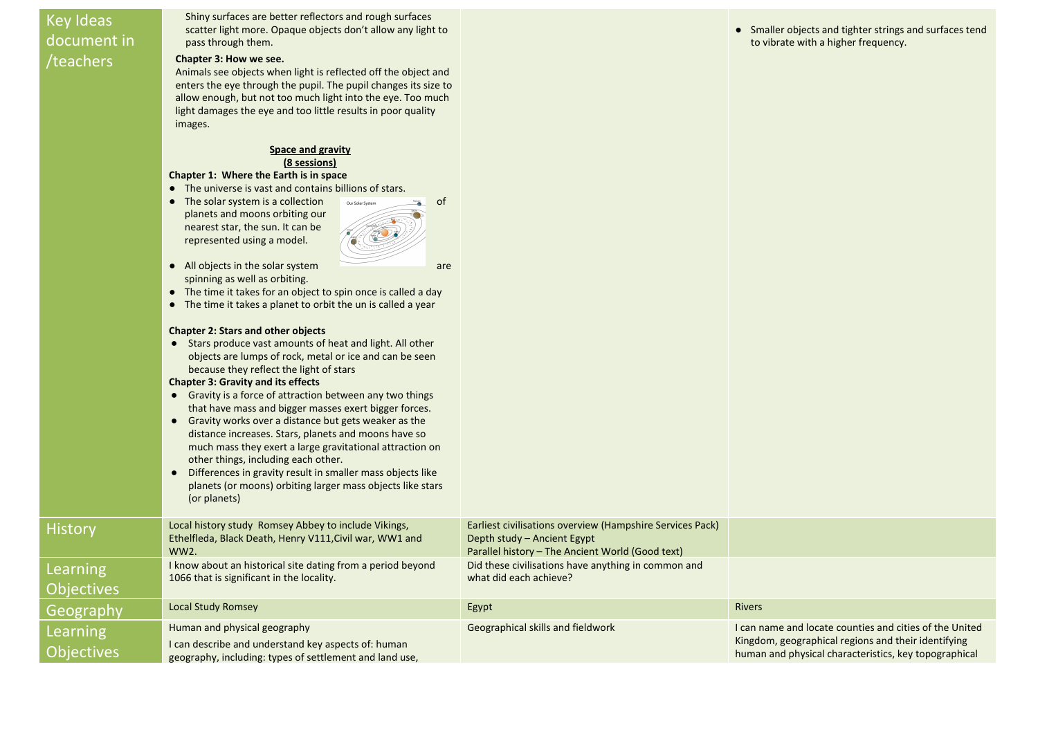# Key Ideas document in /teachers

His

Shiny surfaces are better reflectors and rough surfaces scatter light more. Opaque objects don't allow any light to pass through them.

## **Chapter 3: How we see.**

Animals see objects when light is reflected off the object and enters the eye through the pupil. The pupil changes its size to allow enough, but not too much light into the eye. Too much light damages the eye and too little results in poor quality images.

#### **Space and gravity (8 sessions)**

## **Chapter 1: Where the Earth is in space**

- The universe is vast and contains billions of stars.
- The solar system is a collection our solar system of planets and moons orbiting our nearest star, the sun. It can be represented using a model.



• All objects in the solar system are spinning as well as orbiting.

● The time it takes for an object to spin once is called a day

|                               | • The time it takes a planet to orbit the un is called a year                                                                                                                                                                                                                                                                                                                                                                                                                                                                                                                                                                                                                                                                                                 |                                                                                                                                              |                                                                                                                                                                         |
|-------------------------------|---------------------------------------------------------------------------------------------------------------------------------------------------------------------------------------------------------------------------------------------------------------------------------------------------------------------------------------------------------------------------------------------------------------------------------------------------------------------------------------------------------------------------------------------------------------------------------------------------------------------------------------------------------------------------------------------------------------------------------------------------------------|----------------------------------------------------------------------------------------------------------------------------------------------|-------------------------------------------------------------------------------------------------------------------------------------------------------------------------|
|                               | <b>Chapter 2: Stars and other objects</b><br>• Stars produce vast amounts of heat and light. All other<br>objects are lumps of rock, metal or ice and can be seen<br>because they reflect the light of stars<br><b>Chapter 3: Gravity and its effects</b><br>• Gravity is a force of attraction between any two things<br>that have mass and bigger masses exert bigger forces.<br>• Gravity works over a distance but gets weaker as the<br>distance increases. Stars, planets and moons have so<br>much mass they exert a large gravitational attraction on<br>other things, including each other.<br>Differences in gravity result in smaller mass objects like<br>$\bullet$<br>planets (or moons) orbiting larger mass objects like stars<br>(or planets) |                                                                                                                                              |                                                                                                                                                                         |
| <b>History</b>                | Local history study Romsey Abbey to include Vikings,<br>Ethelfleda, Black Death, Henry V111, Civil war, WW1 and<br>WW <sub>2</sub> .                                                                                                                                                                                                                                                                                                                                                                                                                                                                                                                                                                                                                          | Earliest civilisations overview (Hampshire Services Pack)<br>Depth study – Ancient Egypt<br>Parallel history - The Ancient World (Good text) |                                                                                                                                                                         |
| <b>Learning</b>               | I know about an historical site dating from a period beyond<br>1066 that is significant in the locality.                                                                                                                                                                                                                                                                                                                                                                                                                                                                                                                                                                                                                                                      | Did these civilisations have anything in common and<br>what did each achieve?                                                                |                                                                                                                                                                         |
| <b>Objectives</b>             |                                                                                                                                                                                                                                                                                                                                                                                                                                                                                                                                                                                                                                                                                                                                                               |                                                                                                                                              |                                                                                                                                                                         |
| Geography                     | <b>Local Study Romsey</b>                                                                                                                                                                                                                                                                                                                                                                                                                                                                                                                                                                                                                                                                                                                                     | Egypt                                                                                                                                        | <b>Rivers</b>                                                                                                                                                           |
| Learning<br><b>Objectives</b> | Human and physical geography<br>I can describe and understand key aspects of: human<br>geography, including: types of settlement and land use,                                                                                                                                                                                                                                                                                                                                                                                                                                                                                                                                                                                                                | Geographical skills and fieldwork                                                                                                            | I can name and locate counties and cities of the United<br>Kingdom, geographical regions and their identifying<br>human and physical characteristics, key topographical |

● Smaller objects and tighter strings and surfaces tend to vibrate with a higher frequency.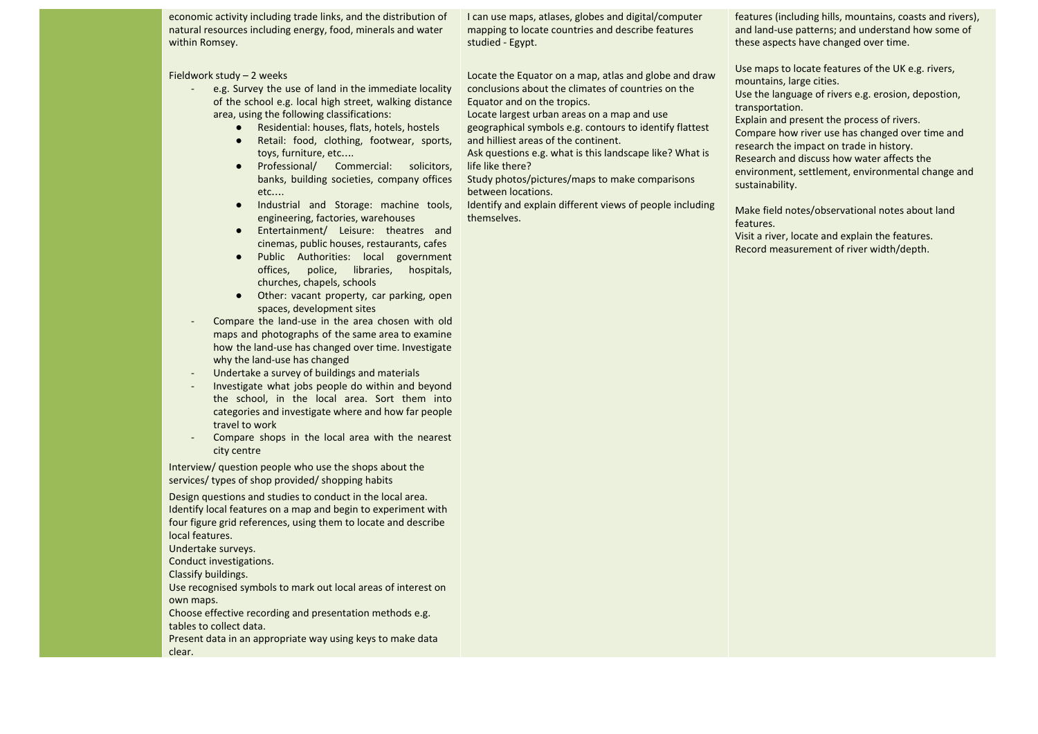economic activity including trade links, and the distribution of natural resources including energy, food, minerals and water within Romsey.

#### Fieldwork study – 2 weeks

- e.g. Survey the use of land in the immediate locality of the school e.g. local high street, walking distance area, using the following classifications:
	- Residential: houses, flats, hotels, hostels
	- Retail: food, clothing, footwear, sports, toys, furniture, etc….
	- Professional/ Commercial: solicitors, banks, building societies, company offices etc….
	- Industrial and Storage: machine tools, engineering, factories, warehouses
	- Entertainment/ Leisure: theatres and cinemas, public houses, restaurants, cafes
	- Public Authorities: local government offices, police, libraries, hospitals, churches, chapels, schools
	- Other: vacant property, car parking, open spaces, development sites
- Compare the land-use in the area chosen with old maps and photographs of the same area to examine how the land-use has changed over time. Investigate why the land-use has changed
- Undertake a survey of buildings and materials
- Investigate what jobs people do within and beyond the school, in the local area. Sort them into categories and investigate where and how far people travel to work
- Compare shops in the local area with the nearest city centre

Interview/ question people who use the shops about the services/ types of shop provided/ shopping habits

Design questions and studies to conduct in the local area. Identify local features on a map and begin to experiment with four figure grid references, using them to locate and describe local features.

Undertake surveys.

Conduct investigations.

Classify buildings.

Use recognised symbols to mark out local areas of interest on own maps.

Choose effective recording and presentation methods e.g. tables to collect data.

Present data in an appropriate way using keys to make data clear.

I can use maps, atlases, globes and digital/computer mapping to locate countries and describe features studied - Egypt.

Locate the Equator on a map, atlas and globe and draw conclusions about the climates of countries on the Equator and on the tropics.

Locate largest urban areas on a map and use geographical symbols e.g. contours to identify flattest

and hilliest areas of the continent. Ask questions e.g. what is this landscape like? What is

life like there? Study photos/pictures/maps to make comparisons

between locations.

Identify and explain different views of people including themselves.

features (including hills, mountains, coasts and rivers), and land-use patterns; and understand how some of these aspects have changed over time.

Use maps to locate features of the UK e.g. rivers, mountains, large cities.

Use the language of rivers e.g. erosion, depostion, transportation.

Explain and present the process of rivers. Compare how river use has changed over time and research the impact on trade in history.

Research and discuss how water affects the environment, settlement, environmental change and sustainability.

Make field notes/observational notes about land features.

Visit a river, locate and explain the features. Record measurement of river width/depth.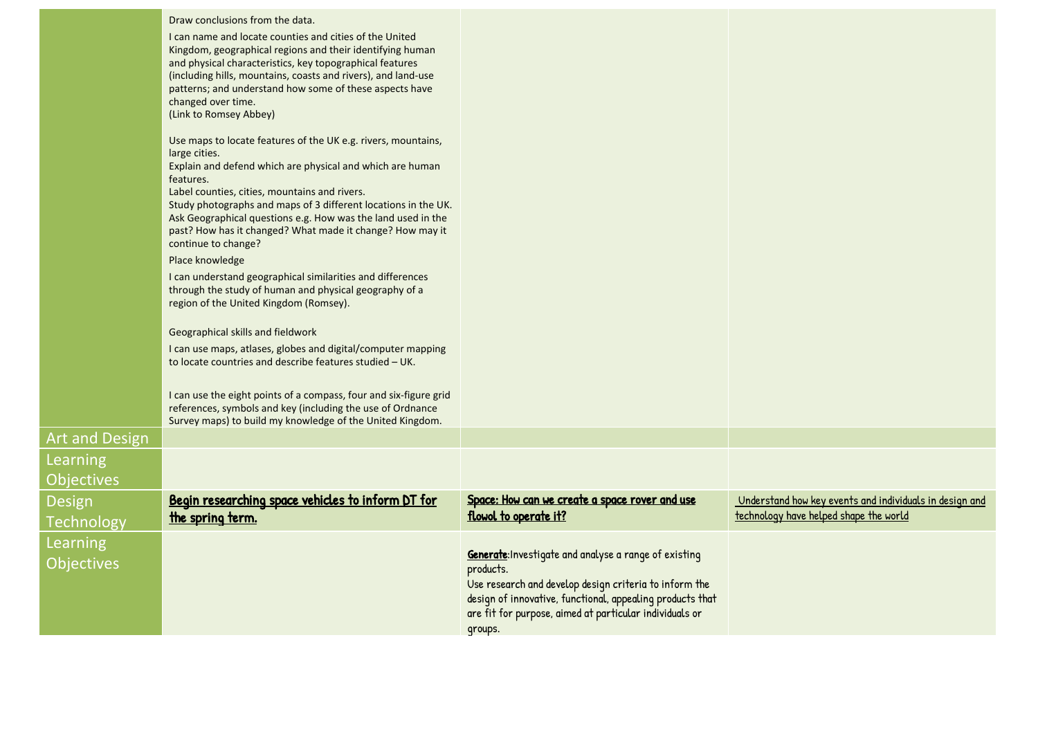|                               | Draw conclusions from the data.<br>I can name and locate counties and cities of the United<br>Kingdom, geographical regions and their identifying human<br>and physical characteristics, key topographical features<br>(including hills, mountains, coasts and rivers), and land-use<br>patterns; and understand how some of these aspects have<br>changed over time.<br>(Link to Romsey Abbey)                                 |                                                                                                                                                                                                                                                                 |                                                                                                   |
|-------------------------------|---------------------------------------------------------------------------------------------------------------------------------------------------------------------------------------------------------------------------------------------------------------------------------------------------------------------------------------------------------------------------------------------------------------------------------|-----------------------------------------------------------------------------------------------------------------------------------------------------------------------------------------------------------------------------------------------------------------|---------------------------------------------------------------------------------------------------|
|                               | Use maps to locate features of the UK e.g. rivers, mountains,<br>large cities.<br>Explain and defend which are physical and which are human<br>features.<br>Label counties, cities, mountains and rivers.<br>Study photographs and maps of 3 different locations in the UK.<br>Ask Geographical questions e.g. How was the land used in the<br>past? How has it changed? What made it change? How may it<br>continue to change? |                                                                                                                                                                                                                                                                 |                                                                                                   |
|                               | Place knowledge<br>I can understand geographical similarities and differences<br>through the study of human and physical geography of a<br>region of the United Kingdom (Romsey).                                                                                                                                                                                                                                               |                                                                                                                                                                                                                                                                 |                                                                                                   |
|                               | Geographical skills and fieldwork<br>I can use maps, atlases, globes and digital/computer mapping<br>to locate countries and describe features studied - UK.                                                                                                                                                                                                                                                                    |                                                                                                                                                                                                                                                                 |                                                                                                   |
|                               | I can use the eight points of a compass, four and six-figure grid<br>references, symbols and key (including the use of Ordnance<br>Survey maps) to build my knowledge of the United Kingdom.                                                                                                                                                                                                                                    |                                                                                                                                                                                                                                                                 |                                                                                                   |
| <b>Art and Design</b>         |                                                                                                                                                                                                                                                                                                                                                                                                                                 |                                                                                                                                                                                                                                                                 |                                                                                                   |
| Learning<br><b>Objectives</b> |                                                                                                                                                                                                                                                                                                                                                                                                                                 |                                                                                                                                                                                                                                                                 |                                                                                                   |
| Design<br>Technology          | Begin researching space vehicles to inform DT for<br>the spring term.                                                                                                                                                                                                                                                                                                                                                           | Space: How can we create a space rover and use<br>flowol to operate it?                                                                                                                                                                                         | Understand how key events and individuals in design and<br>technology have helped shape the world |
| Learning<br><b>Objectives</b> |                                                                                                                                                                                                                                                                                                                                                                                                                                 | Generate: Investigate and analyse a range of existing<br>products.<br>Use research and develop design criteria to inform the<br>design of innovative, functional, appealing products that<br>are fit for purpose, aimed at particular individuals or<br>qroups. |                                                                                                   |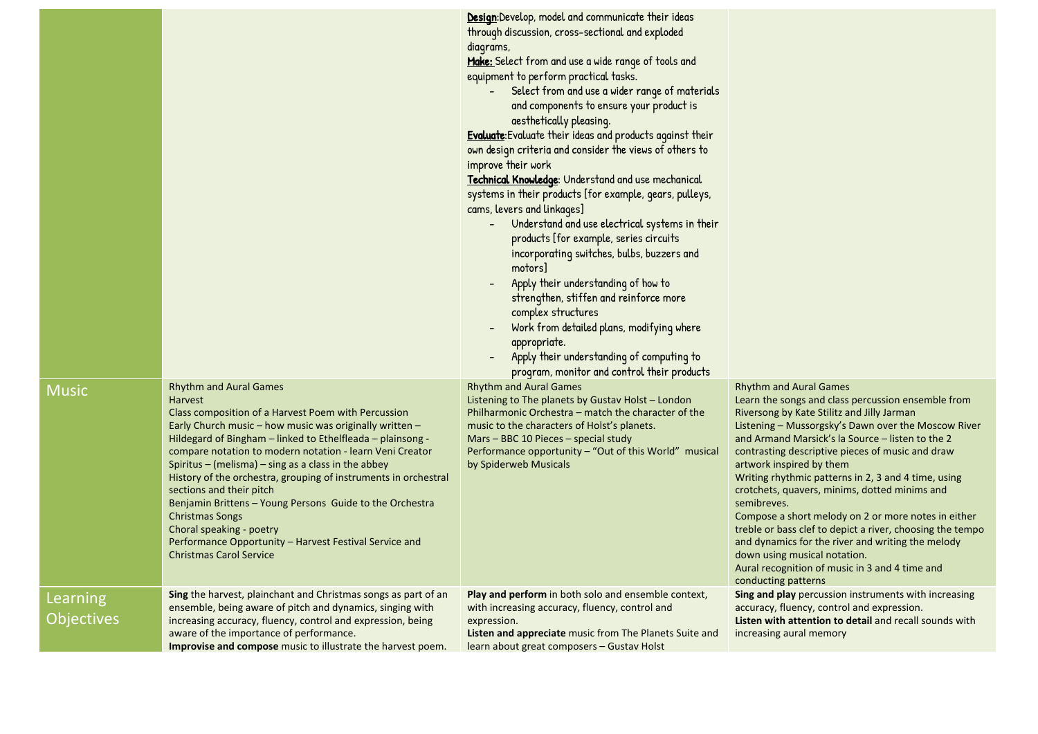|                               |                                                                                                                                                                                                                                                                                                                                                                                                                                                                                                                                                                                                                                                                 | Design:Develop, model and communicate their ideas<br>through discussion, cross-sectional and exploded<br>diagrams,<br>Make: Select from and use a wide range of tools and<br>equipment to perform practical tasks.<br>Select from and use a wider range of materials<br>and components to ensure your product is<br>aesthetically pleasing.<br><b>Evaluate:</b> Evaluate their ideas and products against their<br>own design criteria and consider the views of others to<br>improve their work<br>Technical Knowledge: Understand and use mechanical<br>systems in their products [for example, gears, pulleys,<br>cams, levers and linkages]<br>Understand and use electrical systems in their<br>products [for example, series circuits<br>incorporating switches, bulbs, buzzers and<br>motors]<br>Apply their understanding of how to<br>strengthen, stiffen and reinforce more<br>complex structures<br>Work from detailed plans, modifying where<br>appropriate.<br>Apply their understanding of computing to<br>program, monitor and control their products |                                                                                                                                                                                                                                                                                                                                                                                                                                                                                                                                                                                                                                                                                                                                       |
|-------------------------------|-----------------------------------------------------------------------------------------------------------------------------------------------------------------------------------------------------------------------------------------------------------------------------------------------------------------------------------------------------------------------------------------------------------------------------------------------------------------------------------------------------------------------------------------------------------------------------------------------------------------------------------------------------------------|----------------------------------------------------------------------------------------------------------------------------------------------------------------------------------------------------------------------------------------------------------------------------------------------------------------------------------------------------------------------------------------------------------------------------------------------------------------------------------------------------------------------------------------------------------------------------------------------------------------------------------------------------------------------------------------------------------------------------------------------------------------------------------------------------------------------------------------------------------------------------------------------------------------------------------------------------------------------------------------------------------------------------------------------------------------------|---------------------------------------------------------------------------------------------------------------------------------------------------------------------------------------------------------------------------------------------------------------------------------------------------------------------------------------------------------------------------------------------------------------------------------------------------------------------------------------------------------------------------------------------------------------------------------------------------------------------------------------------------------------------------------------------------------------------------------------|
| <b>Music</b>                  | <b>Rhythm and Aural Games</b><br><b>Harvest</b><br>Class composition of a Harvest Poem with Percussion<br>Early Church music – how music was originally written –<br>Hildegard of Bingham - linked to Ethelfleada - plainsong -<br>compare notation to modern notation - learn Veni Creator<br>Spiritus – (melisma) – sing as a class in the abbey<br>History of the orchestra, grouping of instruments in orchestral<br>sections and their pitch<br>Benjamin Brittens - Young Persons Guide to the Orchestra<br><b>Christmas Songs</b><br>Choral speaking - poetry<br>Performance Opportunity - Harvest Festival Service and<br><b>Christmas Carol Service</b> | <b>Rhythm and Aural Games</b><br>Listening to The planets by Gustav Holst - London<br>Philharmonic Orchestra – match the character of the<br>music to the characters of Holst's planets.<br>Mars – BBC 10 Pieces – special study<br>Performance opportunity – "Out of this World" musical<br>by Spiderweb Musicals                                                                                                                                                                                                                                                                                                                                                                                                                                                                                                                                                                                                                                                                                                                                                   | <b>Rhythm and Aural Games</b><br>Learn the songs and class percussion ensemble from<br>Riversong by Kate Stilitz and Jilly Jarman<br>Listening – Mussorgsky's Dawn over the Moscow River<br>and Armand Marsick's la Source – listen to the 2<br>contrasting descriptive pieces of music and draw<br>artwork inspired by them<br>Writing rhythmic patterns in 2, 3 and 4 time, using<br>crotchets, quavers, minims, dotted minims and<br>semibreves.<br>Compose a short melody on 2 or more notes in either<br>treble or bass clef to depict a river, choosing the tempo<br>and dynamics for the river and writing the melody<br>down using musical notation.<br>Aural recognition of music in 3 and 4 time and<br>conducting patterns |
| Learning<br><b>Objectives</b> | Sing the harvest, plainchant and Christmas songs as part of an<br>ensemble, being aware of pitch and dynamics, singing with<br>increasing accuracy, fluency, control and expression, being<br>aware of the importance of performance.<br><b>Improvise and compose</b> music to illustrate the harvest poem.                                                                                                                                                                                                                                                                                                                                                     | Play and perform in both solo and ensemble context,<br>with increasing accuracy, fluency, control and<br>expression.<br><b>Listen and appreciate</b> music from The Planets Suite and<br>learn about great composers - Gustav Holst                                                                                                                                                                                                                                                                                                                                                                                                                                                                                                                                                                                                                                                                                                                                                                                                                                  | <b>Sing and play</b> percussion instruments with increasing<br>accuracy, fluency, control and expression.<br><b>Listen with attention to detail</b> and recall sounds with<br>increasing aural memory                                                                                                                                                                                                                                                                                                                                                                                                                                                                                                                                 |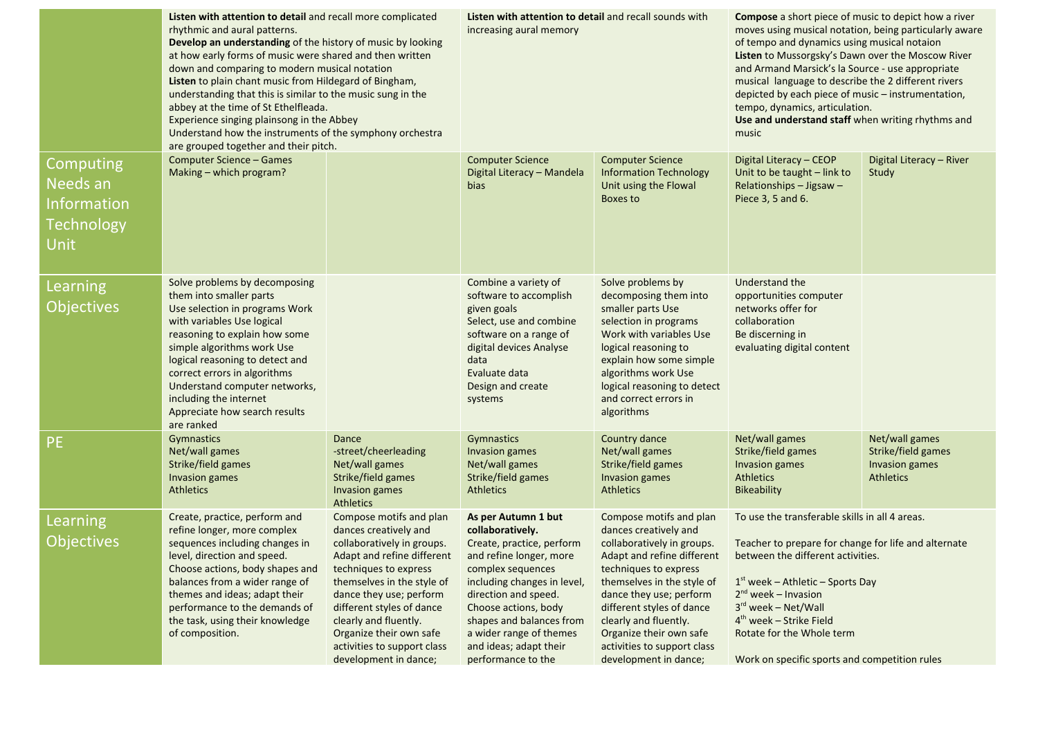|                                                                          | Listen with attention to detail and recall more complicated<br>rhythmic and aural patterns.<br>Develop an understanding of the history of music by looking<br>at how early forms of music were shared and then written<br>down and comparing to modern musical notation<br>Listen to plain chant music from Hildegard of Bingham,<br>understanding that this is similar to the music sung in the<br>abbey at the time of St Ethelfleada.<br>Experience singing plainsong in the Abbey<br>Understand how the instruments of the symphony orchestra<br>are grouped together and their pitch. |                                                                                                                                                                                                                                                                                                                                         | Listen with attention to detail and recall sounds with<br>increasing aural memory                                                                                                                                                                                                                          |                                                                                                                                                                                                                                                                                                                                         | <b>Compose</b> a short piece of music to depict how a river<br>moves using musical notation, being particularly aware<br>of tempo and dynamics using musical notaion<br>Listen to Mussorgsky's Dawn over the Moscow River<br>and Armand Marsick's la Source - use appropriate<br>musical language to describe the 2 different rivers<br>depicted by each piece of music - instrumentation,<br>tempo, dynamics, articulation.<br>Use and understand staff when writing rhythms and<br>music |                                                                            |
|--------------------------------------------------------------------------|--------------------------------------------------------------------------------------------------------------------------------------------------------------------------------------------------------------------------------------------------------------------------------------------------------------------------------------------------------------------------------------------------------------------------------------------------------------------------------------------------------------------------------------------------------------------------------------------|-----------------------------------------------------------------------------------------------------------------------------------------------------------------------------------------------------------------------------------------------------------------------------------------------------------------------------------------|------------------------------------------------------------------------------------------------------------------------------------------------------------------------------------------------------------------------------------------------------------------------------------------------------------|-----------------------------------------------------------------------------------------------------------------------------------------------------------------------------------------------------------------------------------------------------------------------------------------------------------------------------------------|--------------------------------------------------------------------------------------------------------------------------------------------------------------------------------------------------------------------------------------------------------------------------------------------------------------------------------------------------------------------------------------------------------------------------------------------------------------------------------------------|----------------------------------------------------------------------------|
| Computing<br>Needs an<br><b>Information</b><br><b>Technology</b><br>Unit | <b>Computer Science - Games</b><br>Making - which program?                                                                                                                                                                                                                                                                                                                                                                                                                                                                                                                                 |                                                                                                                                                                                                                                                                                                                                         | <b>Computer Science</b><br>Digital Literacy - Mandela<br><b>bias</b>                                                                                                                                                                                                                                       | <b>Computer Science</b><br><b>Information Technology</b><br>Unit using the Flowal<br>Boxes to                                                                                                                                                                                                                                           | Digital Literacy - CEOP<br>Unit to be taught - link to<br>Relationships - Jigsaw -<br>Piece 3, 5 and 6.                                                                                                                                                                                                                                                                                                                                                                                    | Digital Literacy - River<br>Study                                          |
| Learning<br><b>Objectives</b>                                            | Solve problems by decomposing<br>them into smaller parts<br>Use selection in programs Work<br>with variables Use logical<br>reasoning to explain how some<br>simple algorithms work Use<br>logical reasoning to detect and<br>correct errors in algorithms<br>Understand computer networks,<br>including the internet<br>Appreciate how search results<br>are ranked                                                                                                                                                                                                                       |                                                                                                                                                                                                                                                                                                                                         | Combine a variety of<br>software to accomplish<br>given goals<br>Select, use and combine<br>software on a range of<br>digital devices Analyse<br>data<br>Evaluate data<br>Design and create<br>systems                                                                                                     | Solve problems by<br>decomposing them into<br>smaller parts Use<br>selection in programs<br>Work with variables Use<br>logical reasoning to<br>explain how some simple<br>algorithms work Use<br>logical reasoning to detect<br>and correct errors in<br>algorithms                                                                     | Understand the<br>opportunities computer<br>networks offer for<br>collaboration<br>Be discerning in<br>evaluating digital content                                                                                                                                                                                                                                                                                                                                                          |                                                                            |
| <b>PE</b>                                                                | Gymnastics<br>Net/wall games<br>Strike/field games<br>Invasion games<br><b>Athletics</b>                                                                                                                                                                                                                                                                                                                                                                                                                                                                                                   | Dance<br>-street/cheerleading<br>Net/wall games<br>Strike/field games<br><b>Invasion games</b><br><b>Athletics</b>                                                                                                                                                                                                                      | Gymnastics<br>Invasion games<br>Net/wall games<br>Strike/field games<br><b>Athletics</b>                                                                                                                                                                                                                   | Country dance<br>Net/wall games<br>Strike/field games<br>Invasion games<br><b>Athletics</b>                                                                                                                                                                                                                                             | Net/wall games<br>Strike/field games<br>Invasion games<br><b>Athletics</b><br><b>Bikeability</b>                                                                                                                                                                                                                                                                                                                                                                                           | Net/wall games<br>Strike/field games<br>Invasion games<br><b>Athletics</b> |
| Learning<br><b>Objectives</b>                                            | Create, practice, perform and<br>refine longer, more complex<br>sequences including changes in<br>level, direction and speed.<br>Choose actions, body shapes and<br>balances from a wider range of<br>themes and ideas; adapt their<br>performance to the demands of<br>the task, using their knowledge<br>of composition.                                                                                                                                                                                                                                                                 | Compose motifs and plan<br>dances creatively and<br>collaboratively in groups.<br>Adapt and refine different<br>techniques to express<br>themselves in the style of<br>dance they use; perform<br>different styles of dance<br>clearly and fluently.<br>Organize their own safe<br>activities to support class<br>development in dance; | As per Autumn 1 but<br>collaboratively.<br>Create, practice, perform<br>and refine longer, more<br>complex sequences<br>including changes in level,<br>direction and speed.<br>Choose actions, body<br>shapes and balances from<br>a wider range of themes<br>and ideas; adapt their<br>performance to the | Compose motifs and plan<br>dances creatively and<br>collaboratively in groups.<br>Adapt and refine different<br>techniques to express<br>themselves in the style of<br>dance they use; perform<br>different styles of dance<br>clearly and fluently.<br>Organize their own safe<br>activities to support class<br>development in dance; | To use the transferable skills in all 4 areas.<br>Teacher to prepare for change for life and alternate<br>between the different activities.<br>$1st$ week – Athletic – Sports Day<br>$2^{nd}$ week – Invasion<br>$3rd$ week – Net/Wall<br>$4th$ week – Strike Field<br>Rotate for the Whole term<br>Work on specific sports and competition rules                                                                                                                                          |                                                                            |